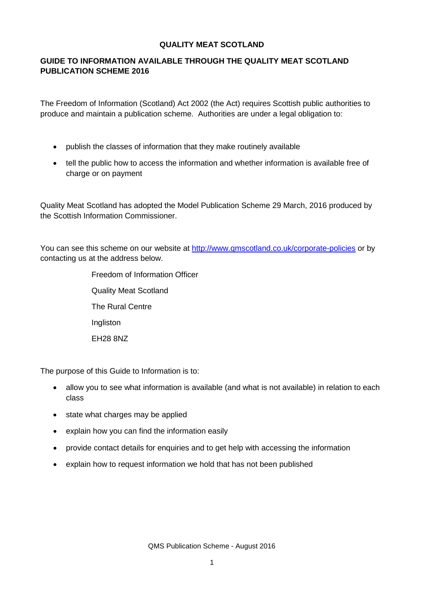#### **QUALITY MEAT SCOTLAND**

## **GUIDE TO INFORMATION AVAILABLE THROUGH THE QUALITY MEAT SCOTLAND PUBLICATION SCHEME 2016**

The Freedom of Information (Scotland) Act 2002 (the Act) requires Scottish public authorities to produce and maintain a publication scheme. Authorities are under a legal obligation to:

- publish the classes of information that they make routinely available
- tell the public how to access the information and whether information is available free of charge or on payment

Quality Meat Scotland has adopted the Model Publication Scheme 29 March, 2016 produced by the Scottish Information Commissioner.

You can see this scheme on our website at <http://www.qmscotland.co.uk/corporate-policies> or by contacting us at the address below.

> Freedom of Information Officer Quality Meat Scotland The Rural Centre Ingliston EH28 8NZ

The purpose of this Guide to Information is to:

- allow you to see what information is available (and what is not available) in relation to each class
- state what charges may be applied
- explain how you can find the information easily
- provide contact details for enquiries and to get help with accessing the information
- explain how to request information we hold that has not been published

QMS Publication Scheme - August 2016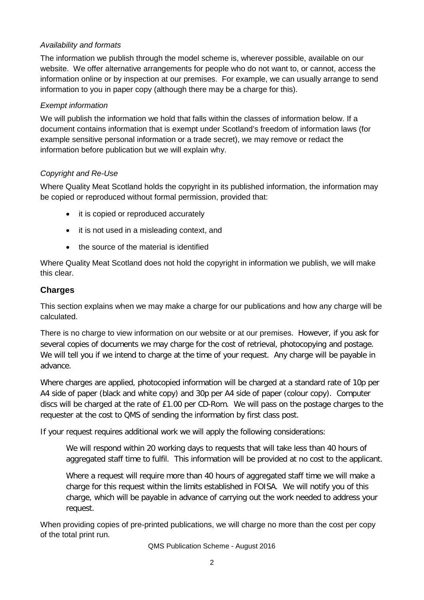## *Availability and formats*

The information we publish through the model scheme is, wherever possible, available on our website. We offer alternative arrangements for people who do not want to, or cannot, access the information online or by inspection at our premises. For example, we can usually arrange to send information to you in paper copy (although there may be a charge for this).

## *Exempt information*

We will publish the information we hold that falls within the classes of information below. If a document contains information that is exempt under Scotland's freedom of information laws (for example sensitive personal information or a trade secret), we may remove or redact the information before publication but we will explain why.

## *Copyright and Re-Use*

Where Quality Meat Scotland holds the copyright in its published information, the information may be copied or reproduced without formal permission, provided that:

- it is copied or reproduced accurately
- it is not used in a misleading context, and
- the source of the material is identified

Where Quality Meat Scotland does not hold the copyright in information we publish, we will make this clear.

# **Charges**

This section explains when we may make a charge for our publications and how any charge will be calculated.

There is no charge to view information on our website or at our premises. However, if you ask for several copies of documents we may charge for the cost of retrieval, photocopying and postage. We will tell you if we intend to charge at the time of your request. Any charge will be payable in advance.

Where charges are applied, photocopied information will be charged at a standard rate of 10p per A4 side of paper (black and white copy) and 30p per A4 side of paper (colour copy). Computer discs will be charged at the rate of £1.00 per CD-Rom. We will pass on the postage charges to the requester at the cost to QMS of sending the information by first class post.

If your request requires additional work we will apply the following considerations:

We will respond within 20 working days to requests that will take less than 40 hours of aggregated staff time to fulfil. This information will be provided at no cost to the applicant.

Where a request will require more than 40 hours of aggregated staff time we will make a charge for this request within the limits established in FOISA. We will notify you of this charge, which will be payable in advance of carrying out the work needed to address your request.

When providing copies of pre-printed publications, we will charge no more than the cost per copy of the total print run.

QMS Publication Scheme - August 2016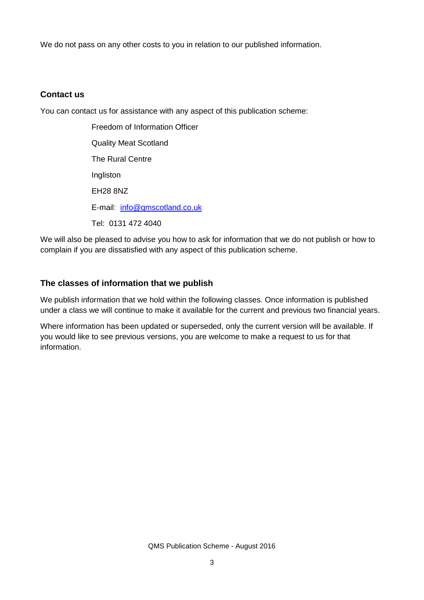We do not pass on any other costs to you in relation to our published information.

## **Contact us**

You can contact us for assistance with any aspect of this publication scheme:

Freedom of Information Officer Quality Meat Scotland The Rural Centre Ingliston EH28 8NZ E-mail: [info@qmscotland.co.uk](mailto:info@qmscotland.co.uk) Tel: 0131 472 4040

We will also be pleased to advise you how to ask for information that we do not publish or how to complain if you are dissatisfied with any aspect of this publication scheme.

# **The classes of information that we publish**

We publish information that we hold within the following classes. Once information is published under a class we will continue to make it available for the current and previous two financial years.

Where information has been updated or superseded, only the current version will be available. If you would like to see previous versions, you are welcome to make a request to us for that information.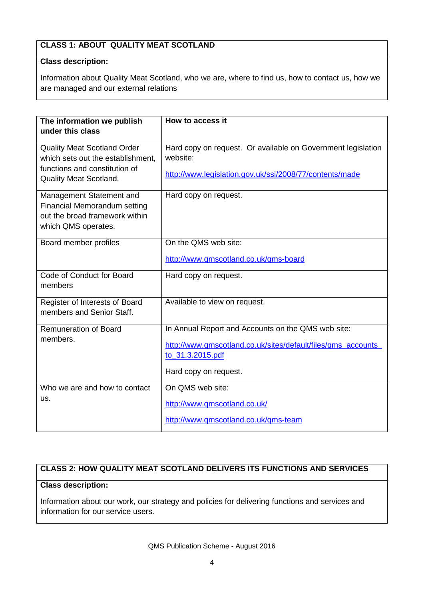# **CLASS 1: ABOUT QUALITY MEAT SCOTLAND**

#### **Class description:**

Information about Quality Meat Scotland, who we are, where to find us, how to contact us, how we are managed and our external relations

| The information we publish<br>under this class                                                                                            | How to access it                                                                                                                    |
|-------------------------------------------------------------------------------------------------------------------------------------------|-------------------------------------------------------------------------------------------------------------------------------------|
| <b>Quality Meat Scotland Order</b><br>which sets out the establishment,<br>functions and constitution of<br><b>Quality Meat Scotland.</b> | Hard copy on request. Or available on Government legislation<br>website:<br>http://www.legislation.gov.uk/ssi/2008/77/contents/made |
| Management Statement and<br><b>Financial Memorandum setting</b><br>out the broad framework within<br>which QMS operates.                  | Hard copy on request.                                                                                                               |
| Board member profiles                                                                                                                     | On the QMS web site:                                                                                                                |
|                                                                                                                                           | http://www.qmscotland.co.uk/qms-board                                                                                               |
| Code of Conduct for Board<br>members                                                                                                      | Hard copy on request.                                                                                                               |
| Register of Interests of Board<br>members and Senior Staff.                                                                               | Available to view on request.                                                                                                       |
| <b>Remuneration of Board</b>                                                                                                              | In Annual Report and Accounts on the QMS web site:                                                                                  |
| members.                                                                                                                                  | http://www.qmscotland.co.uk/sites/default/files/qms accounts<br>to_31.3.2015.pdf<br>Hard copy on request.                           |
|                                                                                                                                           |                                                                                                                                     |
| Who we are and how to contact                                                                                                             | On QMS web site:                                                                                                                    |
| us.                                                                                                                                       | http://www.qmscotland.co.uk/                                                                                                        |
|                                                                                                                                           | http://www.qmscotland.co.uk/qms-team                                                                                                |

# **CLASS 2: HOW QUALITY MEAT SCOTLAND DELIVERS ITS FUNCTIONS AND SERVICES**

#### **Class description:**

Information about our work, our strategy and policies for delivering functions and services and information for our service users.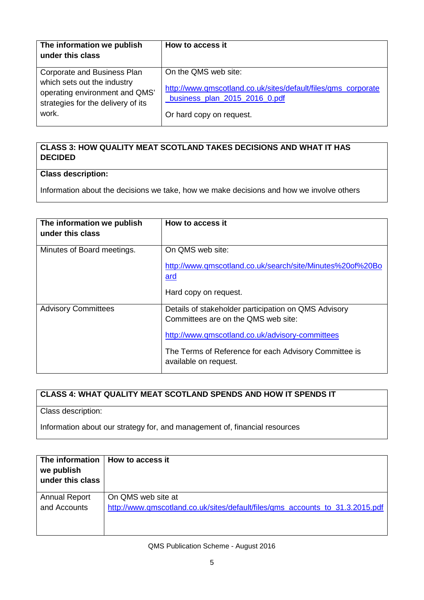| The information we publish<br>under this class                                                                                              | How to access it                                                                                                                                   |
|---------------------------------------------------------------------------------------------------------------------------------------------|----------------------------------------------------------------------------------------------------------------------------------------------------|
| Corporate and Business Plan<br>which sets out the industry<br>operating environment and QMS'<br>strategies for the delivery of its<br>work. | On the QMS web site:<br>http://www.qmscotland.co.uk/sites/default/files/qms_corporate<br>business_plan_2015_2016_0.pdf<br>Or hard copy on request. |

# **CLASS 3: HOW QUALITY MEAT SCOTLAND TAKES DECISIONS AND WHAT IT HAS DECIDED**

# **Class description:**

Information about the decisions we take, how we make decisions and how we involve others

| The information we publish<br>under this class | How to access it                                                                                                                                                                                                                 |
|------------------------------------------------|----------------------------------------------------------------------------------------------------------------------------------------------------------------------------------------------------------------------------------|
| Minutes of Board meetings.                     | On QMS web site:<br>http://www.qmscotland.co.uk/search/site/Minutes%20of%20Bo<br><u>ard</u><br>Hard copy on request.                                                                                                             |
|                                                |                                                                                                                                                                                                                                  |
| <b>Advisory Committees</b>                     | Details of stakeholder participation on QMS Advisory<br>Committees are on the QMS web site:<br>http://www.qmscotland.co.uk/advisory-committees<br>The Terms of Reference for each Advisory Committee is<br>available on request. |

# **CLASS 4: WHAT QUALITY MEAT SCOTLAND SPENDS AND HOW IT SPENDS IT**

Class description:

Information about our strategy for, and management of, financial resources

| we publish<br>under this class | The information   How to access it                                            |
|--------------------------------|-------------------------------------------------------------------------------|
| <b>Annual Report</b>           | On QMS web site at                                                            |
| and Accounts                   | http://www.gmscotland.co.uk/sites/default/files/gms_accounts_to_31.3.2015.pdf |
|                                |                                                                               |

#### QMS Publication Scheme - August 2016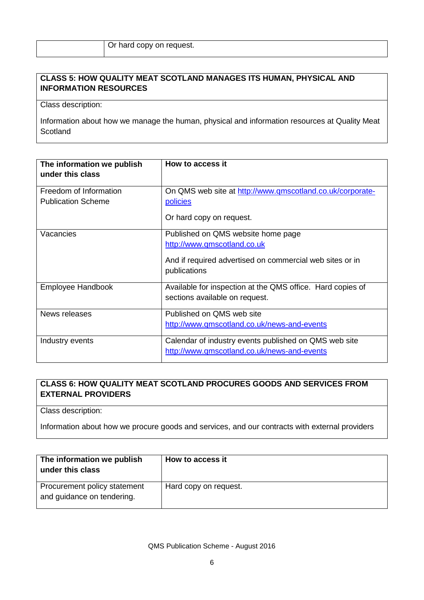## **CLASS 5: HOW QUALITY MEAT SCOTLAND MANAGES ITS HUMAN, PHYSICAL AND INFORMATION RESOURCES**

Class description:

Information about how we manage the human, physical and information resources at Quality Meat **Scotland** 

| The information we publish<br>under this class      | How to access it                                                                                                                              |
|-----------------------------------------------------|-----------------------------------------------------------------------------------------------------------------------------------------------|
| Freedom of Information<br><b>Publication Scheme</b> | On QMS web site at http://www.qmscotland.co.uk/corporate-<br>policies<br>Or hard copy on request.                                             |
| Vacancies                                           | Published on QMS website home page<br>http://www.qmscotland.co.uk<br>And if required advertised on commercial web sites or in<br>publications |
| Employee Handbook                                   | Available for inspection at the QMS office. Hard copies of<br>sections available on request.                                                  |
| News releases                                       | Published on QMS web site<br>http://www.qmscotland.co.uk/news-and-events                                                                      |
| Industry events                                     | Calendar of industry events published on QMS web site<br>http://www.qmscotland.co.uk/news-and-events                                          |

# **CLASS 6: HOW QUALITY MEAT SCOTLAND PROCURES GOODS AND SERVICES FROM EXTERNAL PROVIDERS**

Class description:

Information about how we procure goods and services, and our contracts with external providers

| The information we publish<br>under this class             | How to access it      |
|------------------------------------------------------------|-----------------------|
| Procurement policy statement<br>and guidance on tendering. | Hard copy on request. |